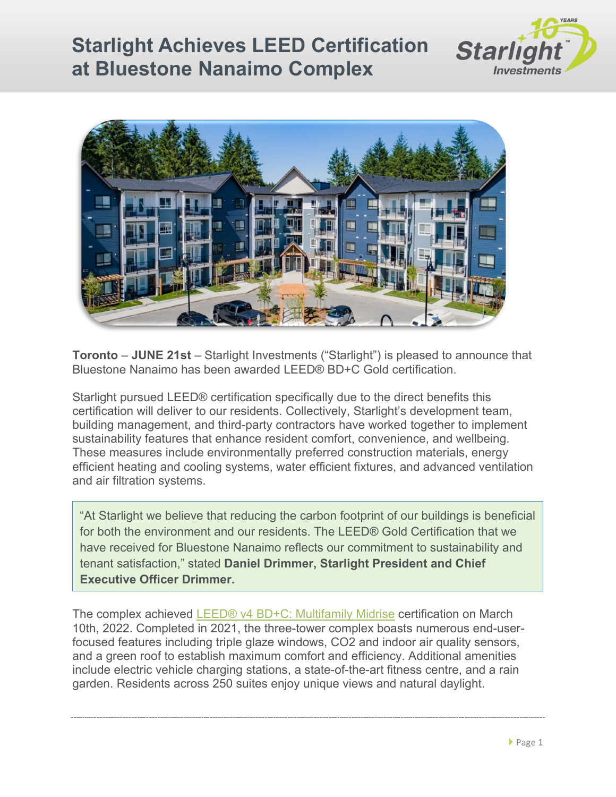## **Starlight Achieves LEED Certification at Bluestone Nanaimo Complex**





**Toronto** – **JUNE 21st** – Starlight Investments ("Starlight") is pleased to announce that Bluestone Nanaimo has been awarded LEED® BD+C Gold certification.

Starlight pursued LEED® certification specifically due to the direct benefits this certification will deliver to our residents. Collectively, Starlight's development team, building management, and third-party contractors have worked together to implement sustainability features that enhance resident comfort, convenience, and wellbeing. These measures include environmentally preferred construction materials, energy efficient heating and cooling systems, water efficient fixtures, and advanced ventilation and air filtration systems.

"At Starlight we believe that reducing the carbon footprint of our buildings is beneficial for both the environment and our residents. The LEED® Gold Certification that we have received for Bluestone Nanaimo reflects our commitment to sustainability and tenant satisfaction," stated **Daniel Drimmer, Starlight President and Chief Executive Officer Drimmer.**

The complex achieved LEED® [v4 BD+C: Multifamily Midrise](https://www.usgbc.org/resources/leed-v4-homes-and-multifamily-midrise-current-version) certification on March 10th, 2022. Completed in 2021, the three-tower complex boasts numerous end-userfocused features including triple glaze windows, CO2 and indoor air quality sensors, and a green roof to establish maximum comfort and efficiency. Additional amenities include electric vehicle charging stations, a state-of-the-art fitness centre, and a rain garden. Residents across 250 suites enjoy unique views and natural daylight.